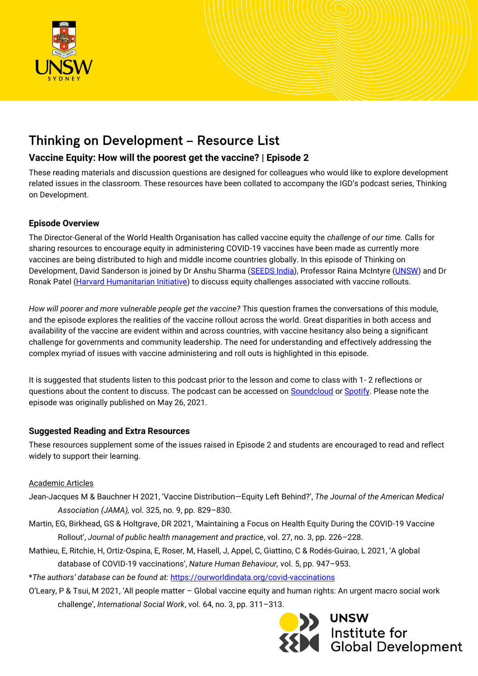

# Thinking on Development - Resource List

## **Vaccine Equity: How will the poorest get the vaccine? | Episode 2**

These reading materials and discussion questions are designed for colleagues who would like to explore development related issues in the classroom. These resources have been collated to accompany the IGD's podcast series, Thinking on Development.

### **Episode Overview**

The Director-General of the World Health Organisation has called vaccine equity the *challenge of our time.* Calls for sharing resources to encourage equity in administering COVID-19 vaccines have been made as currently more vaccines are being distributed to high and middle income countries globally. In this episode of Thinking on Development, David Sanderson is joined by Dr Anshu Sharma [\(SEEDS India\)](https://www.seedsindia.org/team/anshu-sharma/), Professor Raina McIntyre [\(UNSW\)](https://med.unsw.edu.au/our-people/raina-macintyre) and Dr Ronak Patel [\(Harvard Humanitarian Initiative\)](https://hhi.harvard.edu/people/ronak-b-patel-md-mph) to discuss equity challenges associated with vaccine rollouts.

*How will poorer and more vulnerable people get the vaccine?* This question frames the conversations of this module, and the episode explores the realities of the vaccine rollout across the world. Great disparities in both access and availability of the vaccine are evident within and across countries, with vaccine hesitancy also being a significant challenge for governments and community leadership. The need for understanding and effectively addressing the complex myriad of issues with vaccine administering and roll outs is highlighted in this episode.

It is suggested that students listen to this podcast prior to the lesson and come to class with 1- 2 reflections or questions about the content to discuss. The podcast can be accessed on [Soundcloud](https://soundcloud.com/unsw_igd/vaccine-equity-how-will-the-poorest-get-the-vaccine-episode-2) or [Spotify.](https://open.spotify.com/episode/04nJfgi4nH2BWb1k7JXQGX?si=bp7E3StaQxSZcswBbHU1TQ&dl_branch=1) Please note the episode was originally published on May 26, 2021.

### **Suggested Reading and Extra Resources**

These resources supplement some of the issues raised in Episode 2 and students are encouraged to read and reflect widely to support their learning.

#### Academic Articles

- Jean-Jacques M & Bauchner H 2021, 'Vaccine Distribution—Equity Left Behind?', *The Journal of the American Medical Association (JAMA),* vol. 325, no. 9, pp. 829–830.
- Martin, EG, Birkhead, GS & Holtgrave, DR 2021, 'Maintaining a Focus on Health Equity During the COVID-19 Vaccine Rollout', *Journal of public health management and practice*, vol. 27, no. 3, pp. 226–228.
- Mathieu, E, Ritchie, H, Ortiz-Ospina, E, Roser, M, Hasell, J, Appel, C, Giattino, C & Rodés-Guirao, L 2021, 'A global database of COVID-19 vaccinations', *Nature Human Behaviour,* vol. 5, pp. 947–953.
- \**The authors' database can be found at:* <https://ourworldindata.org/covid-vaccinations>
- O'Leary, P & Tsui, M 2021, 'All people matter Global vaccine equity and human rights: An urgent macro social work challenge', *International Social Work*, vol. 64, no. 3, pp. 311–313.



**ODE UNSW<br>EXPERIENCE SOLUTION**<br>Global Development **UNSW**